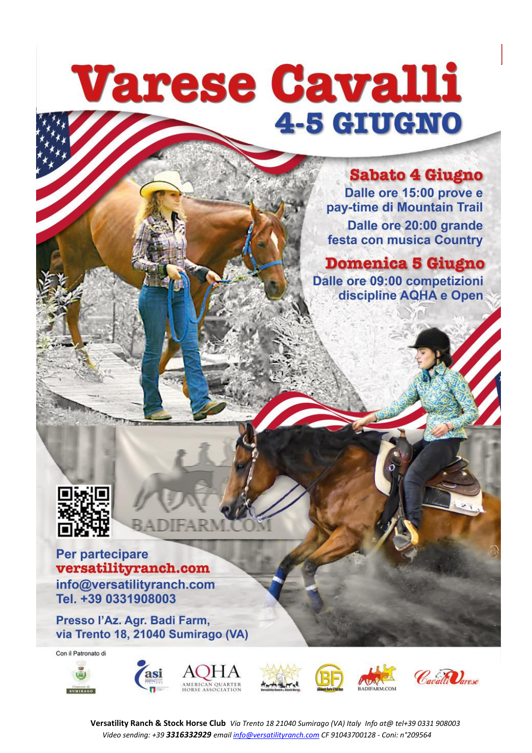# **Varese Cavalli 4-5 GIUGNO**

### **Sabato 4 Giugno**

Dalle ore 15:00 prove e pay-time di Mountain Trail Dalle ore 20:00 grande festa con musica Country

**Domenica 5 Giugno** Dalle ore 09:00 competizioni discipline AQHA e Open



### Per partecipare versatilityranch.com

info@versatilityranch.com Tel. +39 0331908003

Presso l'Az. Agr. Badi Farm, via Trento 18, 21040 Sumirago (VA)

Con il Patronato di















**Versatility Ranch & Stock Horse Club** *Via Trento 18 21040 Sumirago (VA) Italy Info at@ tel+39 0331 908003 Video sending: +39 3316332929 email info@versatilityranch.com CF 91043700128 - Coni: n°209564*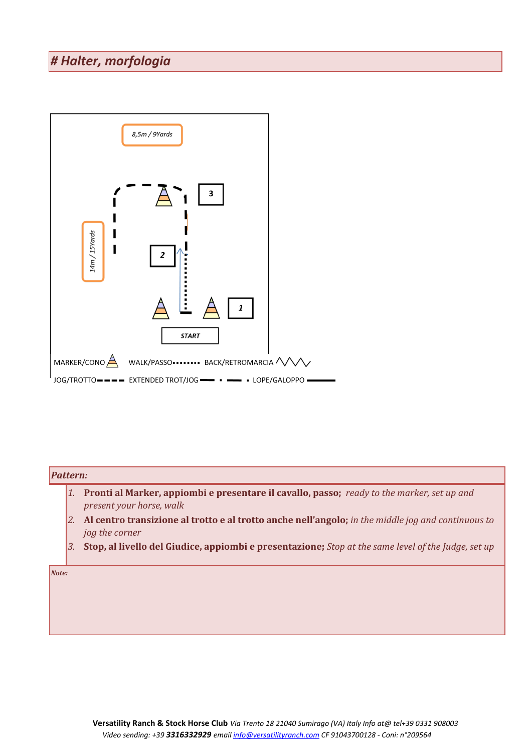### *# Halter, morfologia*



#### *Pattern:*

- *1.* **Pronti al Marker, appiombi e presentare il cavallo, passo;** *ready to the marker, set up and present your horse, walk*
- *2.* **Al centro transizione al trotto e al trotto anche nell'angolo;** *in the middle jog and continuous to jog the corner*
- *3.* **Stop, al livello del Giudice, appiombi e presentazione;** *Stop at the same level of the Judge, set up*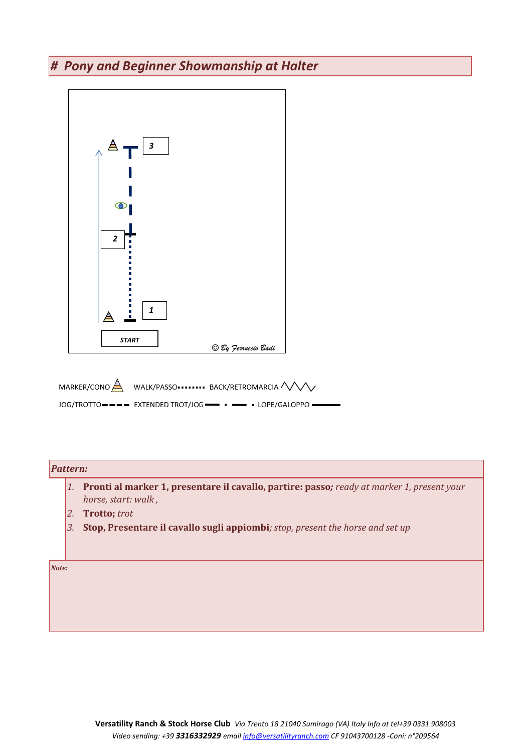### *# Pony and Beginner Showmanship at Halter*



#### *Pattern:*

- *1.* **Pronti al marker 1, presentare il cavallo, partire: passo***; ready at marker 1, present your horse, start: walk ,*
- *2.* **Trotto;** *trot*
- *3.* **Stop, Presentare il cavallo sugli appiombi***; stop, present the horse and set up*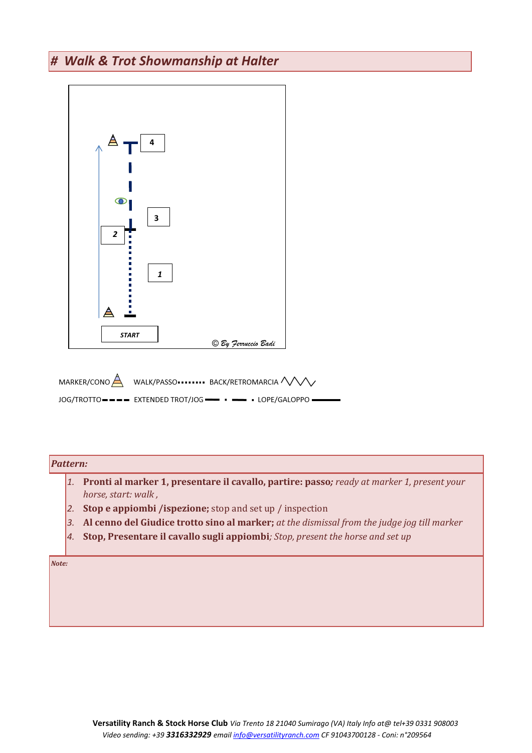### *# Walk & Trot Showmanship at Halter*



 $LOG/TROTTO$  = = = EXTENDED TROT/JOG =  $\bullet$  = = + LOPE/GALOPPO =

#### *Pattern:*

- *1.* **Pronti al marker 1, presentare il cavallo, partire: passo***; ready at marker 1, present your horse, start: walk ,*
- *2.* **Stop e appiombi /ispezione;** stop and set up / inspection
- *3.* **Al cenno del Giudice trotto sino al marker;** *at the dismissal from the judge jog till marker*
- *4.* **Stop, Presentare il cavallo sugli appiombi***; Stop, present the horse and set up*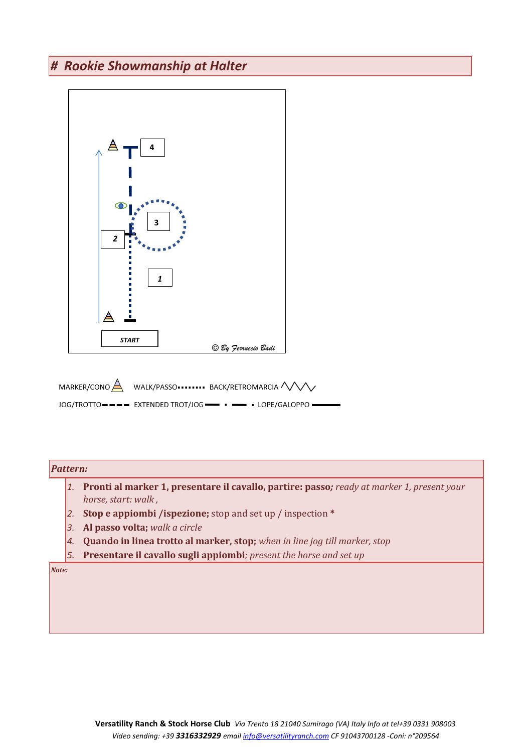### *# Rookie Showmanship at Halter*



#### *Pattern:*

- *1.* **Pronti al marker 1, presentare il cavallo, partire: passo***; ready at marker 1, present your horse, start: walk ,*
- *2.* **Stop e appiombi /ispezione;** stop and set up / inspection **\***
- *3.* **Al passo volta;** *walk a circle*
- *4.* **Quando in linea trotto al marker, stop;** *when in line jog till marker, stop*
- *5.* **Presentare il cavallo sugli appiombi***; present the horse and set up*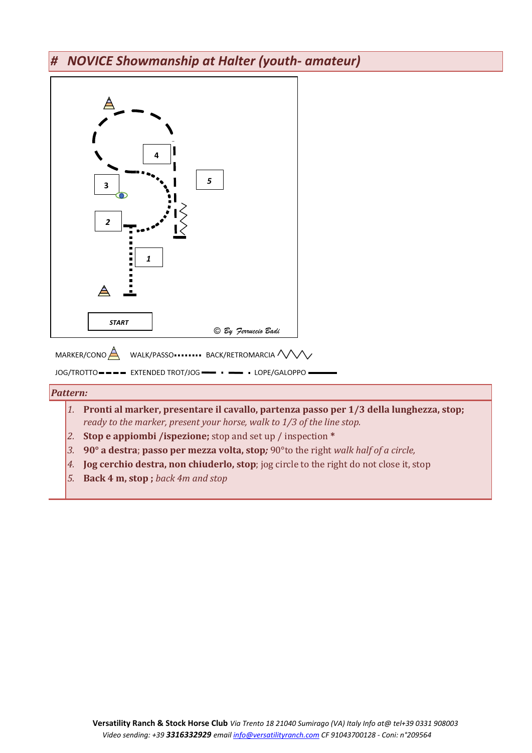### *# NOVICE Showmanship at Halter (youth- amateur)*



#### *Pattern:*

- *1.* **Pronti al marker, presentare il cavallo, partenza passo per 1/3 della lunghezza, stop;**  *ready to the marker, present your horse, walk to 1/3 of the line stop.*
- *2.* **Stop e appiombi /ispezione;** stop and set up / inspection **\***
- *3.* **90° a destra**; **passo per mezza volta, stop***;* 90°to the right *walk half of a circle,*
- *4.* **Jog cerchio destra, non chiuderlo, stop**; jog circle to the right do not close it, stop
- *5.* **Back 4 m, stop ;** *back 4m and stop*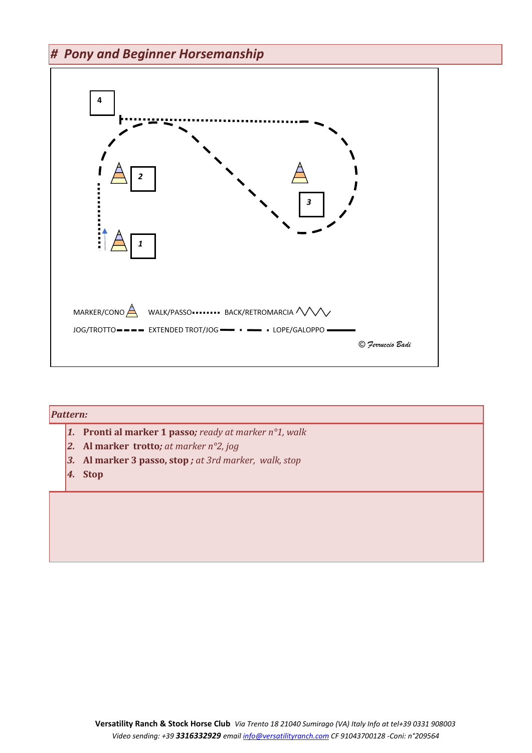### *# Pony and Beginner Horsemanship*



| <b>Pattern:</b> |    |                                                                         |  |  |
|-----------------|----|-------------------------------------------------------------------------|--|--|
|                 |    | <b>1.</b> Pronti al marker 1 passo; ready at marker $n^{\circ}$ 1, walk |  |  |
|                 |    | 2. Al marker trotto; at marker $n^{\circ}2$ , jog                       |  |  |
|                 |    | 3. Al marker 3 passo, stop; at 3rd marker, walk, stop                   |  |  |
|                 | 4. | <b>Stop</b>                                                             |  |  |
|                 |    |                                                                         |  |  |
|                 |    |                                                                         |  |  |
|                 |    |                                                                         |  |  |
|                 |    |                                                                         |  |  |
|                 |    |                                                                         |  |  |
|                 |    |                                                                         |  |  |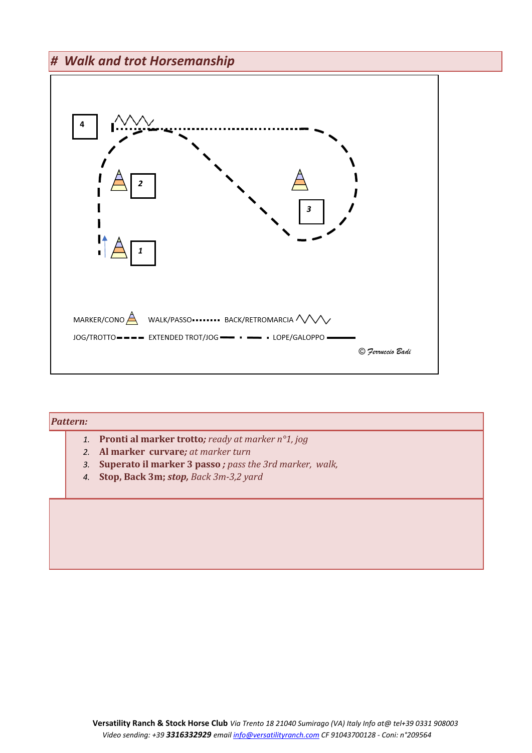### *# Walk and trot Horsemanship*



# *Pattern: 1.* **Pronti al marker trotto***; ready at marker n°1, jog 2.* **Al marker curvare***; at marker turn 3.* **Superato il marker 3 passo** *; pass the 3rd marker, walk, 4.* **Stop, Back 3m;** *stop, Back 3m-3,2 yard*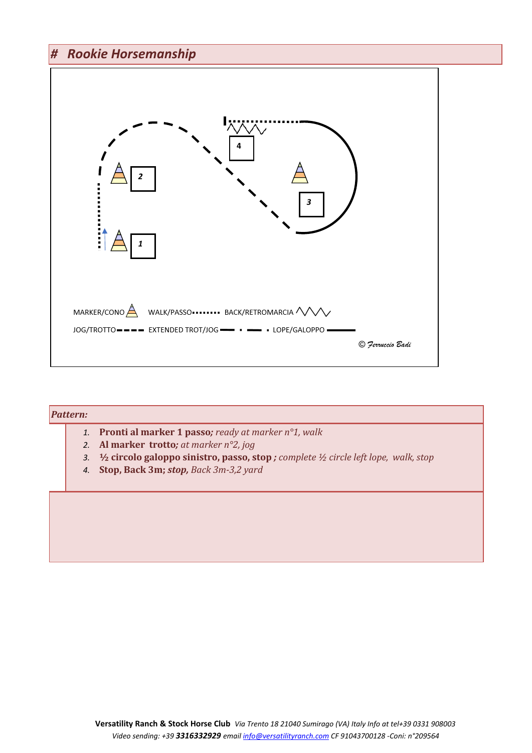### *# Rookie Horsemanship*



| <i>Pattern:</i> |    |                                                                                                                                                                                                                  |  |
|-----------------|----|------------------------------------------------------------------------------------------------------------------------------------------------------------------------------------------------------------------|--|
|                 |    | 1. Pronti al marker 1 passo; ready at marker $n^{\circ}1$ , walk<br>2. Al marker trotto; at marker $n^{\circ}2$ , jog<br>3. 1/2 circolo galoppo sinistro, passo, stop; complete 1/2 circle left lope, walk, stop |  |
|                 | 4. | Stop, Back 3m; stop, Back 3m-3,2 yard                                                                                                                                                                            |  |
|                 |    |                                                                                                                                                                                                                  |  |
|                 |    |                                                                                                                                                                                                                  |  |
|                 |    |                                                                                                                                                                                                                  |  |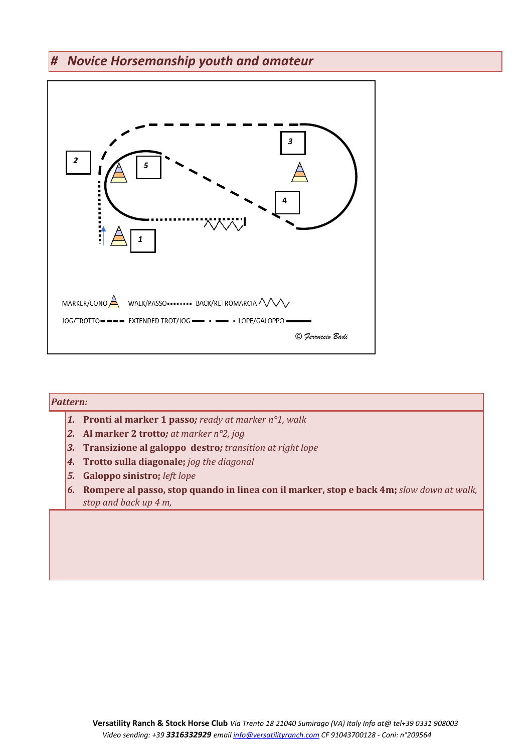### *# Novice Horsemanship youth and amateur*



### *Pattern: 1.* **Pronti al marker 1 passo***; ready at marker n°1, walk 2.* **Al marker 2 trotto***; at marker n°2, jog 3.* **Transizione al galoppo destro***; transition at right lope 4.* **Trotto sulla diagonale;** *jog the diagonal 5.* **Galoppo sinistro;** *left lope 6.* **Rompere al passo, stop quando in linea con il marker, stop e back 4m;** *slow down at walk, stop and back up 4 m,*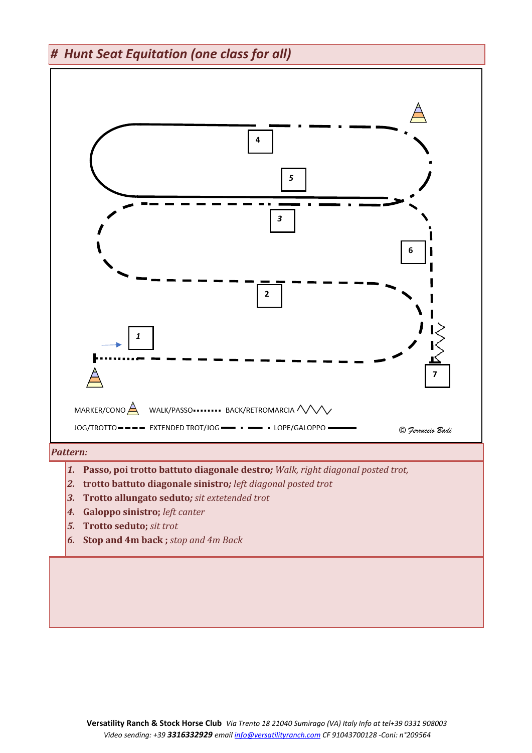*# Hunt Seat Equitation (one class for all)* 



- *1.* **Passo, poi trotto battuto diagonale destro***; Walk, right diagonal posted trot,*
- *2.* **trotto battuto diagonale sinistro***; left diagonal posted trot*
- *3.* **Trotto allungato seduto***; sit extetended trot*
- *4.* **Galoppo sinistro;** *left canter*
- *5.* **Trotto seduto;** *sit trot*
- *6.* **Stop and 4m back ;** *stop and 4m Back*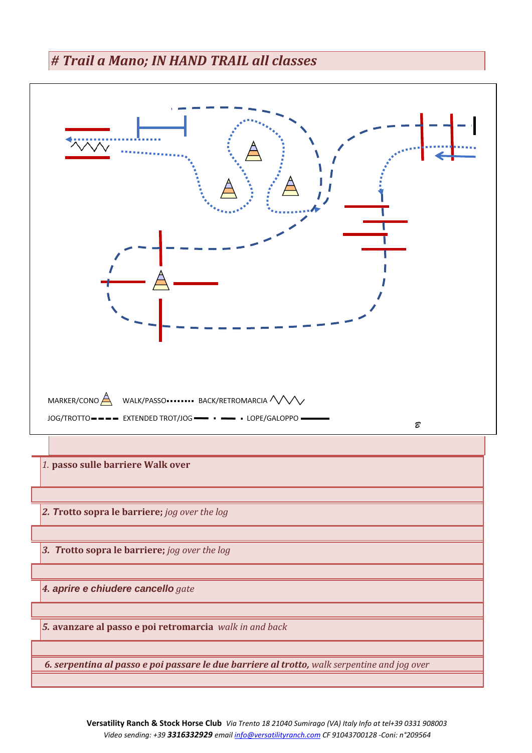### *# Trail a Mano; IN HAND TRAIL all classes*

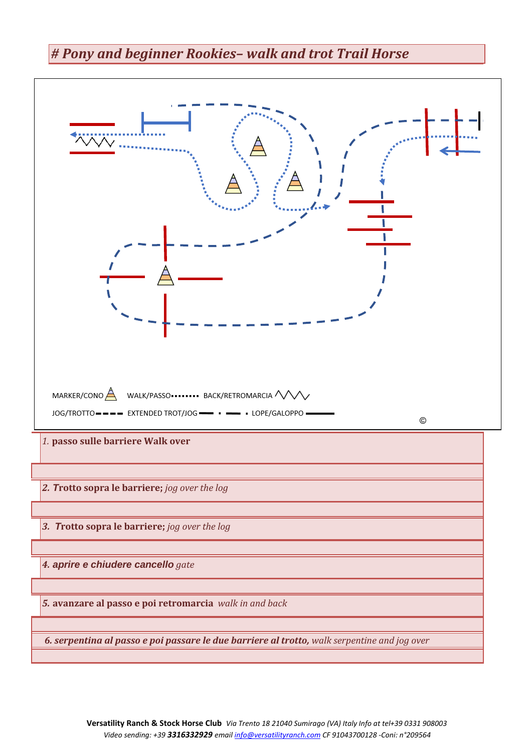### *# Pony and beginner Rookies– walk and trot Trail Horse*

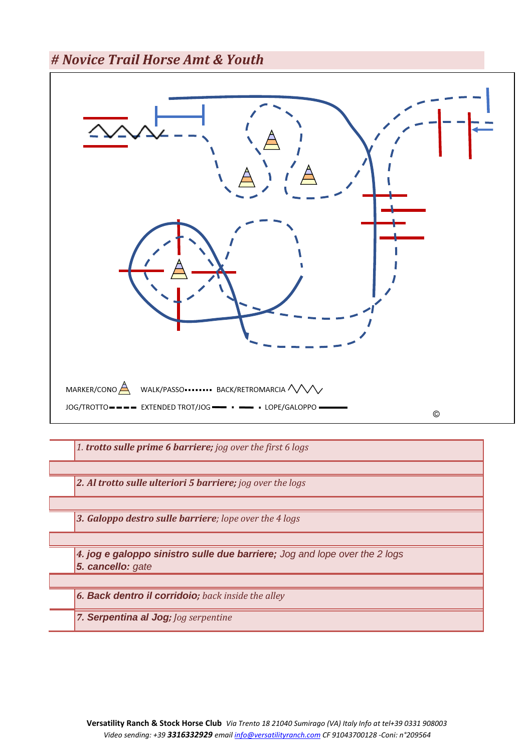*# Novice Trail Horse Amt & Youth*



*4. jog e galoppo sinistro sulle due barriere; Jog and lope over the 2 logs 5. cancello: gate*

*6. Back dentro il corridoio; back inside the alley* 

*7. Serpentina al Jog; Jog serpentine*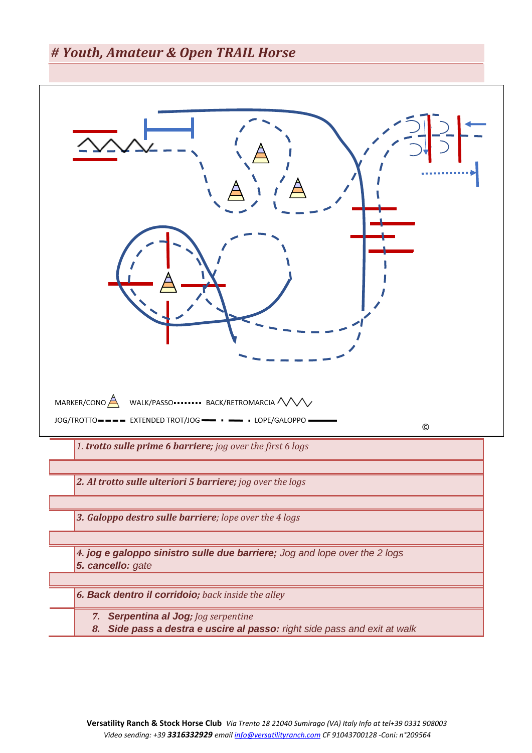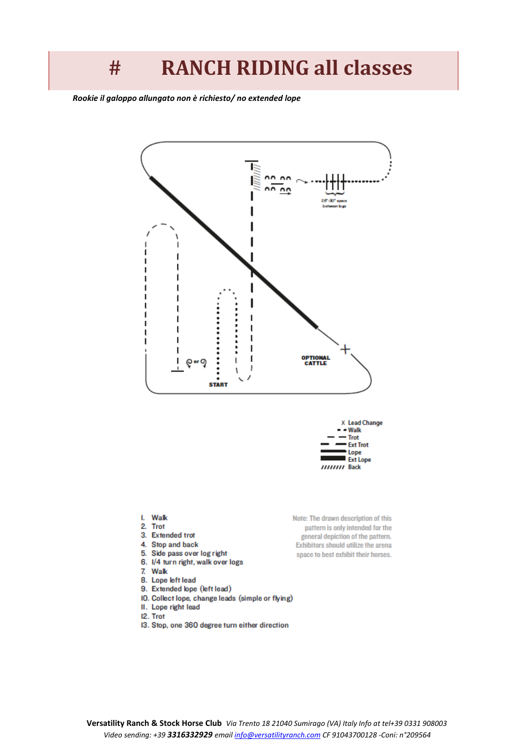## **# RANCH RIDING all classes**

 *:Rookie il galoppo allungato non è richiesto/ no extended lope*



- Walk Trot **Ext Trot** Lope **Ext Lope** HHHH Back

- I. Walk
- 2. Trot
- 3. Extended trot
- 4. Stop and back
- 5. Side pass over log right 6. I/4 turn right, walk over logs
- 7. Walk
- 
- 8. Lope left lead
- 9. Extended lope (left lead) IO. Collect lope, change leads (simple or flying)
- II. Lope right lead
- I2. Trot
- 13. Stop, one 360 degree turn either direction
- Note: The drawn description of this pattern is only intended for the general depiction of the pattern. Exhibitors should utilize the arena space to best exhibit their horses.